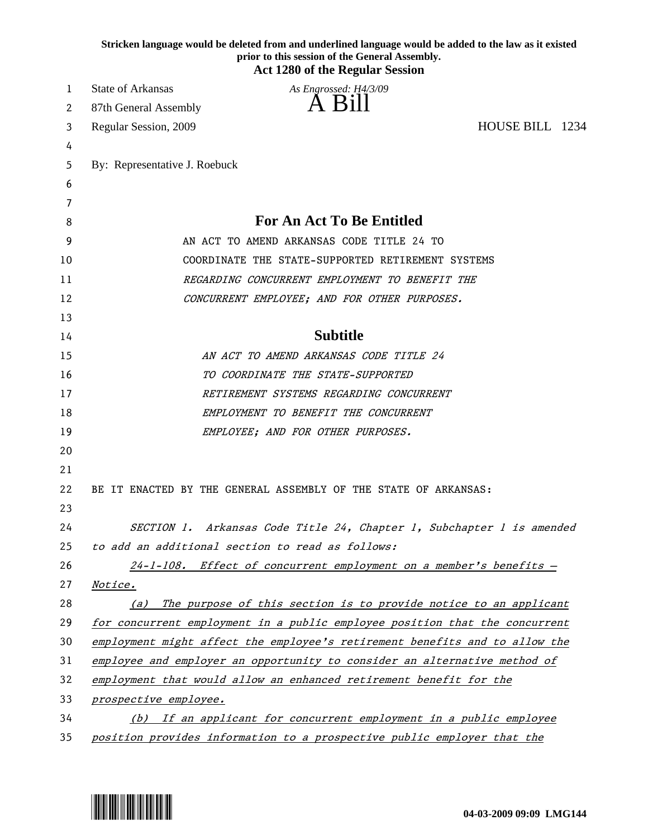|    | Stricken language would be deleted from and underlined language would be added to the law as it existed<br>prior to this session of the General Assembly.<br><b>Act 1280 of the Regular Session</b> |
|----|-----------------------------------------------------------------------------------------------------------------------------------------------------------------------------------------------------|
| 1  | <b>State of Arkansas</b><br>As Engrossed: H4/3/09                                                                                                                                                   |
| 2  | A Bill<br>87th General Assembly                                                                                                                                                                     |
| 3  | HOUSE BILL 1234<br>Regular Session, 2009                                                                                                                                                            |
| 4  |                                                                                                                                                                                                     |
| 5  | By: Representative J. Roebuck                                                                                                                                                                       |
| 6  |                                                                                                                                                                                                     |
| 7  |                                                                                                                                                                                                     |
| 8  | <b>For An Act To Be Entitled</b>                                                                                                                                                                    |
| 9  | AN ACT TO AMEND ARKANSAS CODE TITLE 24 TO                                                                                                                                                           |
| 10 | COORDINATE THE STATE-SUPPORTED RETIREMENT SYSTEMS                                                                                                                                                   |
| 11 | REGARDING CONCURRENT EMPLOYMENT TO BENEFIT THE                                                                                                                                                      |
| 12 | CONCURRENT EMPLOYEE; AND FOR OTHER PURPOSES.                                                                                                                                                        |
| 13 |                                                                                                                                                                                                     |
| 14 | <b>Subtitle</b>                                                                                                                                                                                     |
| 15 | AN ACT TO AMEND ARKANSAS CODE TITLE 24                                                                                                                                                              |
| 16 | TO COORDINATE THE STATE-SUPPORTED                                                                                                                                                                   |
| 17 | <i>RETIREMENT SYSTEMS REGARDING CONCURRENT</i>                                                                                                                                                      |
| 18 | EMPLOYMENT TO BENEFIT THE CONCURRENT                                                                                                                                                                |
| 19 | EMPLOYEE; AND FOR OTHER PURPOSES.                                                                                                                                                                   |
| 20 |                                                                                                                                                                                                     |
| 21 |                                                                                                                                                                                                     |
| 22 | BE IT ENACTED BY THE GENERAL ASSEMBLY OF THE STATE OF ARKANSAS:                                                                                                                                     |
| 23 |                                                                                                                                                                                                     |
| 24 | SECTION 1. Arkansas Code Title 24, Chapter 1, Subchapter 1 is amended                                                                                                                               |
| 25 | to add an additional section to read as follows:                                                                                                                                                    |
| 26 | 24-1-108. Effect of concurrent employment on a member's benefits -                                                                                                                                  |
| 27 | <i>Notice.</i>                                                                                                                                                                                      |
| 28 | The purpose of this section is to provide notice to an applicant<br>(a)                                                                                                                             |
| 29 | for concurrent employment in a public employee position that the concurrent                                                                                                                         |
| 30 | employment might affect the employee's retirement benefits and to allow the                                                                                                                         |
| 31 | employee and employer an opportunity to consider an alternative method of                                                                                                                           |
| 32 | employment that would allow an enhanced retirement benefit for the                                                                                                                                  |
| 33 | prospective employee.                                                                                                                                                                               |
| 34 | If an applicant for concurrent employment in a public employee<br>(b)                                                                                                                               |
| 35 | position provides information to a prospective public employer that the                                                                                                                             |